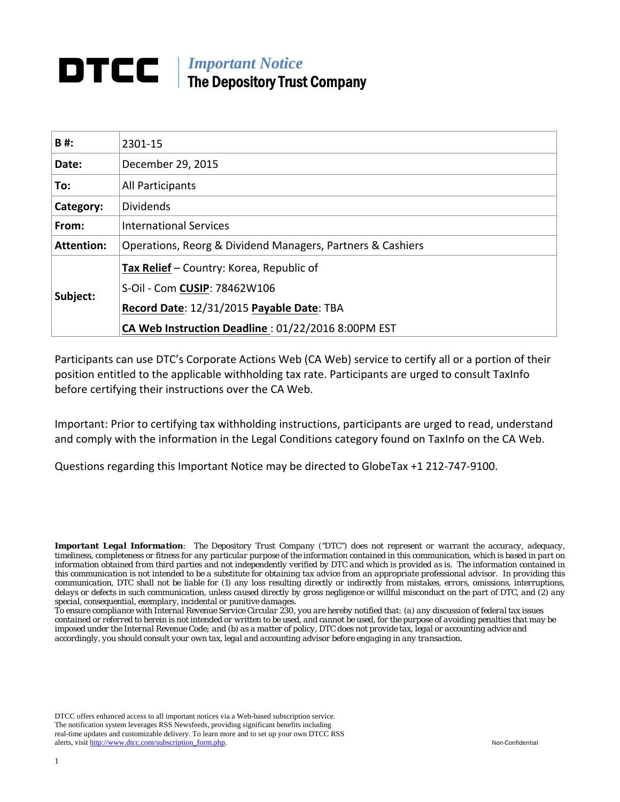# **DTCC** | *Important Notice* The Depository Trust Company

| B#:               | 2301-15                                                                  |  |  |
|-------------------|--------------------------------------------------------------------------|--|--|
| Date:             | December 29, 2015                                                        |  |  |
| To:               | All Participants                                                         |  |  |
| Category:         | <b>Dividends</b>                                                         |  |  |
| From:             | <b>International Services</b>                                            |  |  |
| <b>Attention:</b> | Operations, Reorg & Dividend Managers, Partners & Cashiers               |  |  |
| Subject:          | Tax Relief – Country: Korea, Republic of<br>S-Oil - Com CUSIP: 78462W106 |  |  |
|                   | Record Date: 12/31/2015 Payable Date: TBA                                |  |  |
|                   | CA Web Instruction Deadline: 01/22/2016 8:00PM EST                       |  |  |

Participants can use DTC's Corporate Actions Web (CA Web) service to certify all or a portion of their position entitled to the applicable withholding tax rate. Participants are urged to consult TaxInfo before certifying their instructions over the CA Web.

Important: Prior to certifying tax withholding instructions, participants are urged to read, understand and comply with the information in the Legal Conditions category found on TaxInfo on the CA Web.

Questions regarding this Important Notice may be directed to GlobeTax +1 212‐747‐9100.

DTCC offers enhanced access to all important notices via a Web-based subscription service. The notification system leverages RSS Newsfeeds, providing significant benefits including real-time updates and customizable delivery. To learn more and to set up your own DTCC RSS alerts, visit http://www.dtcc.com/subscription\_form.php. Non-Confidential

*Important Legal Information: The Depository Trust Company ("DTC") does not represent or warrant the accuracy, adequacy, timeliness, completeness or fitness for any particular purpose of the information contained in this communication, which is based in part on information obtained from third parties and not independently verified by DTC and which is provided as is. The information contained in this communication is not intended to be a substitute for obtaining tax advice from an appropriate professional advisor. In providing this communication, DTC shall not be liable for (1) any loss resulting directly or indirectly from mistakes, errors, omissions, interruptions, delays or defects in such communication, unless caused directly by gross negligence or willful misconduct on the part of DTC, and (2) any special, consequential, exemplary, incidental or punitive damages.* 

*To ensure compliance with Internal Revenue Service Circular 230, you are hereby notified that: (a) any discussion of federal tax issues contained or referred to herein is not intended or written to be used, and cannot be used, for the purpose of avoiding penalties that may be imposed under the Internal Revenue Code; and (b) as a matter of policy, DTC does not provide tax, legal or accounting advice and accordingly, you should consult your own tax, legal and accounting advisor before engaging in any transaction.*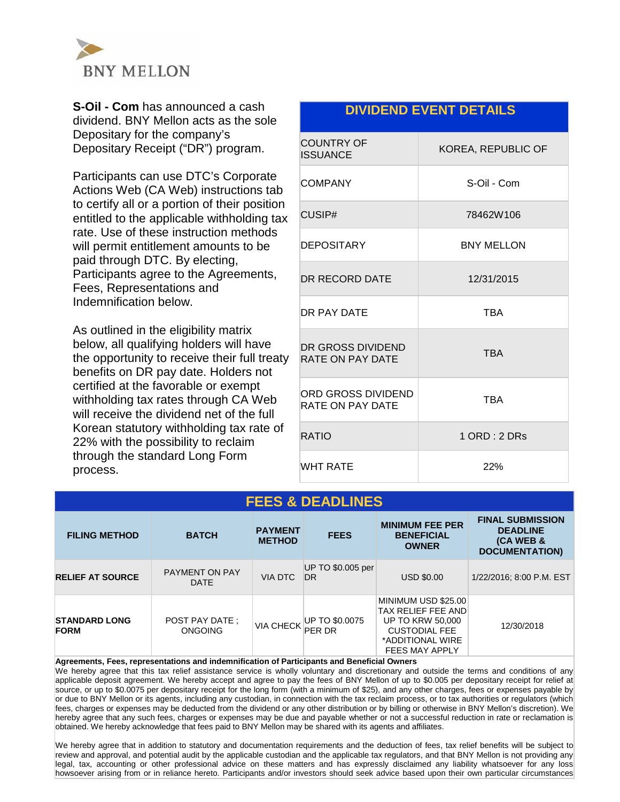

**S-Oil - Com** has announced a cash dividend. BNY Mellon acts as the sole Depositary for the company's Depositary Receipt ("DR") program.

Participants can use DTC's Corporate Actions Web (CA Web) instructions tab to certify all or a portion of their position entitled to the applicable withholding tax rate. Use of these instruction methods will permit entitlement amounts to be paid through DTC. By electing, Participants agree to the Agreements, Fees, Representations and Indemnification below.

As outlined in the eligibility matrix below, all qualifying holders will have the opportunity to receive their full treaty benefits on DR pay date. Holders not certified at the favorable or exempt withholding tax rates through CA Web will receive the dividend net of the full Korean statutory withholding tax rate of 22% with the possibility to reclaim through the standard Long Form process.

#### **DIVIDEND EVENT DETAILS**

| <b>COUNTRY OF</b><br><b>ISSUANCE</b>   | KOREA, REPUBLIC OF |
|----------------------------------------|--------------------|
| <b>COMPANY</b>                         | S-Oil - Com        |
| CUSIP#                                 | 78462W106          |
| <b>DEPOSITARY</b>                      | <b>BNY MELLON</b>  |
| DR RECORD DATE                         | 12/31/2015         |
| DR PAY DATE                            | <b>TBA</b>         |
| DR GROSS DIVIDEND<br>RATE ON PAY DATE  | <b>TBA</b>         |
| ORD GROSS DIVIDEND<br>RATE ON PAY DATE | <b>TBA</b>         |
| <b>RATIO</b>                           | 1 ORD : 2 DRs      |
| <b>WHT RATE</b>                        | 22%                |

#### **FEES & DEADLINES**

| <b>FILING METHOD</b>                | <b>BATCH</b>                         | <b>PAYMENT</b><br><b>METHOD</b> | <b>FEES</b>              | <b>MINIMUM FEE PER</b><br><b>BENEFICIAL</b><br><b>OWNER</b>                                                                               | <b>FINAL SUBMISSION</b><br><b>DEADLINE</b><br>(CA WEB &<br><b>DOCUMENTATION)</b> |
|-------------------------------------|--------------------------------------|---------------------------------|--------------------------|-------------------------------------------------------------------------------------------------------------------------------------------|----------------------------------------------------------------------------------|
| <b>RELIEF AT SOURCE</b>             | <b>PAYMENT ON PAY</b><br><b>DATE</b> | VIA DTC                         | UP TO \$0.005 per<br>DR  | <b>USD \$0.00</b>                                                                                                                         | 1/22/2016; 8:00 P.M. EST                                                         |
| <b>STANDARD LONG</b><br><b>FORM</b> | POST PAY DATE :<br><b>ONGOING</b>    | VIA CHECK                       | UP TO \$0.0075<br>PER DR | MINIMUM USD \$25.00<br>TAX RELIEF FEE AND<br><b>UP TO KRW 50,000</b><br><b>CUSTODIAL FEE</b><br>*ADDITIONAL WIRE<br><b>FEES MAY APPLY</b> | 12/30/2018                                                                       |

#### **Agreements, Fees, representations and indemnification of Participants and Beneficial Owners**

We hereby agree that this tax relief assistance service is wholly voluntary and discretionary and outside the terms and conditions of any applicable deposit agreement. We hereby accept and agree to pay the fees of BNY Mellon of up to \$0.005 per depositary receipt for relief at source, or up to \$0.0075 per depositary receipt for the long form (with a minimum of \$25), and any other charges, fees or expenses payable by or due to BNY Mellon or its agents, including any custodian, in connection with the tax reclaim process, or to tax authorities or regulators (which fees, charges or expenses may be deducted from the dividend or any other distribution or by billing or otherwise in BNY Mellon's discretion). We hereby agree that any such fees, charges or expenses may be due and payable whether or not a successful reduction in rate or reclamation is obtained. We hereby acknowledge that fees paid to BNY Mellon may be shared with its agents and affiliates.

We hereby agree that in addition to statutory and documentation requirements and the deduction of fees, tax relief benefits will be subject to review and approval, and potential audit by the applicable custodian and the applicable tax regulators, and that BNY Mellon is not providing any legal, tax, accounting or other professional advice on these matters and has expressly disclaimed any liability whatsoever for any loss howsoever arising from or in reliance hereto. Participants and/or investors should seek advice based upon their own particular circumstances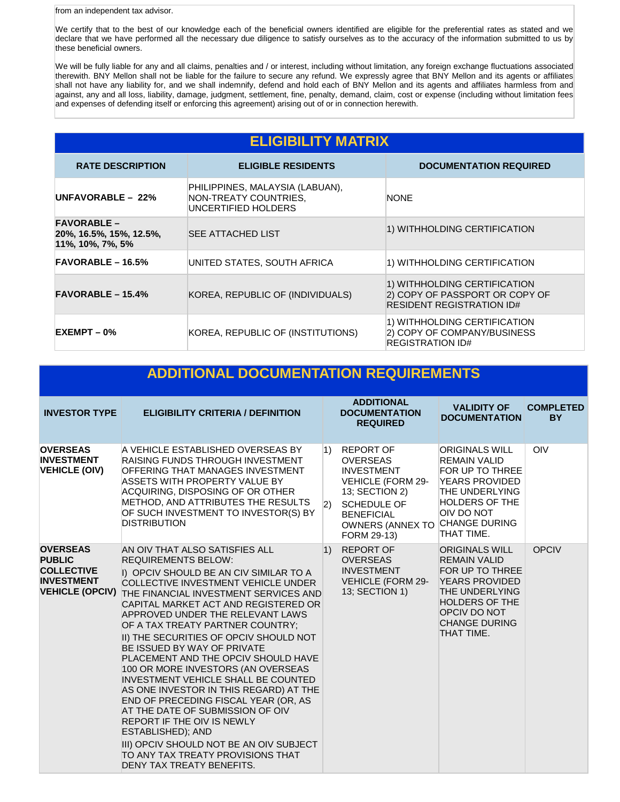from an independent tax advisor.

We certify that to the best of our knowledge each of the beneficial owners identified are eligible for the preferential rates as stated and we declare that we have performed all the necessary due diligence to satisfy ourselves as to the accuracy of the information submitted to us by these beneficial owners.

We will be fully liable for any and all claims, penalties and / or interest, including without limitation, any foreign exchange fluctuations associated therewith. BNY Mellon shall not be liable for the failure to secure any refund. We expressly agree that BNY Mellon and its agents or affiliates shall not have any liability for, and we shall indemnify, defend and hold each of BNY Mellon and its agents and affiliates harmless from and against, any and all loss, liability, damage, judgment, settlement, fine, penalty, demand, claim, cost or expense (including without limitation fees and expenses of defending itself or enforcing this agreement) arising out of or in connection herewith.

## **ELIGIBILITY MATRIX**

| <b>RATE DESCRIPTION</b>                                           | <b>ELIGIBLE RESIDENTS</b>                                                       | <b>DOCUMENTATION REQUIRED</b>                                                                      |
|-------------------------------------------------------------------|---------------------------------------------------------------------------------|----------------------------------------------------------------------------------------------------|
| <b>UNFAVORABLE - 22%</b>                                          | PHILIPPINES, MALAYSIA (LABUAN),<br>NON-TREATY COUNTRIES.<br>UNCERTIFIED HOLDERS | <b>NONE</b>                                                                                        |
| <b>FAVORABLE –</b><br>20%, 16.5%, 15%, 12.5%,<br>11%, 10%, 7%, 5% | <b>SEE ATTACHED LIST</b>                                                        | 1) WITHHOLDING CERTIFICATION                                                                       |
| $FAVORABLE - 16.5\%$                                              | UNITED STATES, SOUTH AFRICA                                                     | 1) WITHHOLDING CERTIFICATION                                                                       |
| $FAVORABLE - 15.4%$                                               | KOREA, REPUBLIC OF (INDIVIDUALS)                                                | 1) WITHHOLDING CERTIFICATION<br>2) COPY OF PASSPORT OR COPY OF<br><b>RESIDENT REGISTRATION ID#</b> |
| $EXEMENT - 0%$                                                    | KOREA, REPUBLIC OF (INSTITUTIONS)                                               | 1) WITHHOLDING CERTIFICATION<br>2) COPY OF COMPANY/BUSINESS<br><b>REGISTRATION ID#</b>             |

### **ADDITIONAL DOCUMENTATION REQUIREMENTS**

| <b>INVESTOR TYPE</b>                                                                                 | <b>ELIGIBILITY CRITERIA / DEFINITION</b>                                                                                                                                                                                                                                                                                                                                                                                                                                                                                                                                                                                                                                                                                                                                                                       |                    | <b>ADDITIONAL</b><br><b>DOCUMENTATION</b><br><b>REQUIRED</b>                                                                                                                  | <b>VALIDITY OF</b><br><b>DOCUMENTATION</b>                                                                                                                                                       | <b>COMPLETED</b><br><b>BY</b> |
|------------------------------------------------------------------------------------------------------|----------------------------------------------------------------------------------------------------------------------------------------------------------------------------------------------------------------------------------------------------------------------------------------------------------------------------------------------------------------------------------------------------------------------------------------------------------------------------------------------------------------------------------------------------------------------------------------------------------------------------------------------------------------------------------------------------------------------------------------------------------------------------------------------------------------|--------------------|-------------------------------------------------------------------------------------------------------------------------------------------------------------------------------|--------------------------------------------------------------------------------------------------------------------------------------------------------------------------------------------------|-------------------------------|
| <b>OVERSEAS</b><br><b>INVESTMENT</b><br><b>VEHICLE (OIV)</b>                                         | A VEHICLE ESTABLISHED OVERSEAS BY<br>RAISING FUNDS THROUGH INVESTMENT<br>OFFERING THAT MANAGES INVESTMENT<br>ASSETS WITH PROPERTY VALUE BY<br>ACQUIRING, DISPOSING OF OR OTHER<br>METHOD, AND ATTRIBUTES THE RESULTS<br>OF SUCH INVESTMENT TO INVESTOR(S) BY<br><b>DISTRIBUTION</b>                                                                                                                                                                                                                                                                                                                                                                                                                                                                                                                            | $ 1\rangle$<br> 2) | <b>REPORT OF</b><br><b>OVERSEAS</b><br><b>INVESTMENT</b><br>VEHICLE (FORM 29-<br>13; SECTION 2)<br>SCHEDULE OF<br><b>BENEFICIAL</b><br><b>OWNERS (ANNEX TO</b><br>FORM 29-13) | <b>ORIGINALS WILL</b><br><b>REMAIN VALID</b><br>FOR UP TO THREE<br><b>YEARS PROVIDED</b><br>THE UNDERLYING<br><b>HOLDERS OF THE</b><br><b>OIV DO NOT</b><br><b>CHANGE DURING</b><br>THAT TIME.   | OIV                           |
| <b>OVERSEAS</b><br><b>PUBLIC</b><br><b>COLLECTIVE</b><br><b>INVESTMENT</b><br><b>VEHICLE (OPCIV)</b> | AN OIV THAT ALSO SATISFIES ALL<br><b>REQUIREMENTS BELOW:</b><br>I) OPCIV SHOULD BE AN CIV SIMILAR TO A<br><b>COLLECTIVE INVESTMENT VEHICLE UNDER</b><br>THE FINANCIAL INVESTMENT SERVICES AND<br>CAPITAL MARKET ACT AND REGISTERED OR<br>APPROVED UNDER THE RELEVANT LAWS<br>OF A TAX TREATY PARTNER COUNTRY;<br>II) THE SECURITIES OF OPCIV SHOULD NOT<br>BE ISSUED BY WAY OF PRIVATE<br>PLACEMENT AND THE OPCIV SHOULD HAVE<br>100 OR MORE INVESTORS (AN OVERSEAS<br><b>INVESTMENT VEHICLE SHALL BE COUNTED</b><br>AS ONE INVESTOR IN THIS REGARD) AT THE<br>END OF PRECEDING FISCAL YEAR (OR, AS<br>AT THE DATE OF SUBMISSION OF OIV<br><b>REPORT IF THE OIV IS NEWLY</b><br>ESTABLISHED); AND<br>III) OPCIV SHOULD NOT BE AN OIV SUBJECT<br>TO ANY TAX TREATY PROVISIONS THAT<br>DENY TAX TREATY BENEFITS. | $\vert$ 1)         | <b>REPORT OF</b><br><b>OVERSEAS</b><br><b>INVESTMENT</b><br>VEHICLE (FORM 29-<br>13; SECTION 1)                                                                               | <b>ORIGINALS WILL</b><br><b>REMAIN VALID</b><br>FOR UP TO THREE<br><b>YEARS PROVIDED</b><br>THE UNDERLYING<br><b>HOLDERS OF THE</b><br><b>OPCIV DO NOT</b><br><b>CHANGE DURING</b><br>THAT TIME. | <b>OPCIV</b>                  |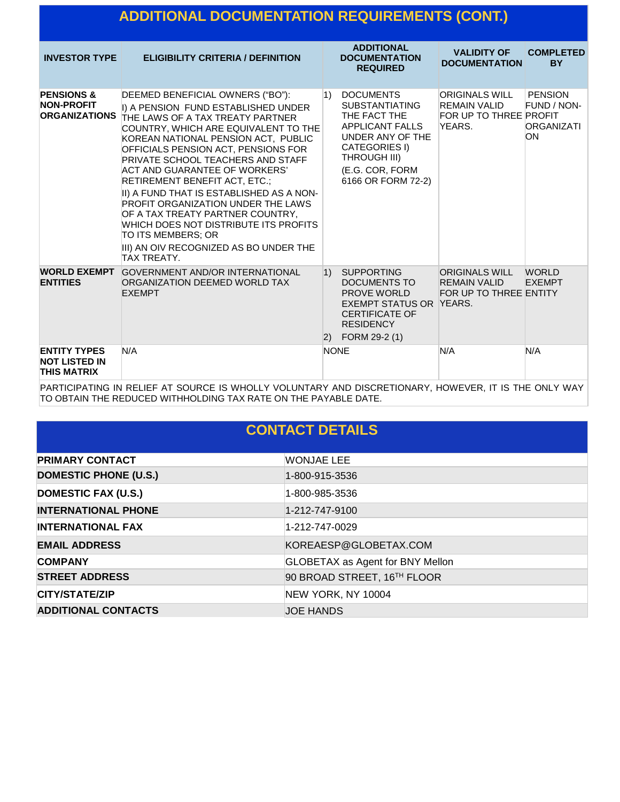|                                                                    | <b>ADDITIONAL DOCUMENTATION REQUIREMENTS (CONT.)</b>                                                                                                                                                                                                                                                                                                                                                                                                                                                                                                                                                        |             |                                                                                                                                                                            |                                                                           |                                                                 |
|--------------------------------------------------------------------|-------------------------------------------------------------------------------------------------------------------------------------------------------------------------------------------------------------------------------------------------------------------------------------------------------------------------------------------------------------------------------------------------------------------------------------------------------------------------------------------------------------------------------------------------------------------------------------------------------------|-------------|----------------------------------------------------------------------------------------------------------------------------------------------------------------------------|---------------------------------------------------------------------------|-----------------------------------------------------------------|
| <b>INVESTOR TYPE</b>                                               | <b>ELIGIBILITY CRITERIA / DEFINITION</b>                                                                                                                                                                                                                                                                                                                                                                                                                                                                                                                                                                    |             | <b>ADDITIONAL</b><br><b>DOCUMENTATION</b><br><b>REQUIRED</b>                                                                                                               | <b>VALIDITY OF</b><br><b>DOCUMENTATION</b>                                | <b>COMPLETED</b><br><b>BY</b>                                   |
| <b>PENSIONS &amp;</b><br><b>NON-PROFIT</b><br><b>ORGANIZATIONS</b> | DEEMED BENEFICIAL OWNERS ("BO"):<br>I) A PENSION FUND ESTABLISHED UNDER<br>THE LAWS OF A TAX TREATY PARTNER<br>COUNTRY, WHICH ARE EQUIVALENT TO THE<br>KOREAN NATIONAL PENSION ACT, PUBLIC<br>OFFICIALS PENSION ACT, PENSIONS FOR<br><b>PRIVATE SCHOOL TEACHERS AND STAFF</b><br>ACT AND GUARANTEE OF WORKERS'<br><b>RETIREMENT BENEFIT ACT, ETC.;</b><br>II) A FUND THAT IS ESTABLISHED AS A NON-<br>PROFIT ORGANIZATION UNDER THE LAWS<br>OF A TAX TREATY PARTNER COUNTRY,<br>WHICH DOES NOT DISTRIBUTE ITS PROFITS<br>TO ITS MEMBERS; OR<br>III) AN OIV RECOGNIZED AS BO UNDER THE<br><b>TAX TREATY.</b> | $\vert$ 1)  | <b>DOCUMENTS</b><br><b>SUBSTANTIATING</b><br>THE FACT THE<br>APPLICANT FALLS<br>UNDER ANY OF THE<br>CATEGORIES I)<br>THROUGH III)<br>(E.G. COR, FORM<br>6166 OR FORM 72-2) | <b>ORIGINALS WILL</b><br>REMAIN VALID<br>FOR UP TO THREE PROFIT<br>YEARS. | <b>PENSION</b><br>FUND / NON-<br><b>ORGANIZATI</b><br><b>ON</b> |
| <b>ENTITIES</b>                                                    | <b>WORLD EXEMPT</b> GOVERNMENT AND/OR INTERNATIONAL<br>ORGANIZATION DEEMED WORLD TAX<br><b>EXEMPT</b>                                                                                                                                                                                                                                                                                                                                                                                                                                                                                                       | $ 2\rangle$ | 1) SUPPORTING<br>DOCUMENTS TO<br><b>PROVE WORLD</b><br><b>EXEMPT STATUS OR YEARS.</b><br><b>CERTIFICATE OF</b><br><b>RESIDENCY</b><br>FORM 29-2 (1)                        | <b>ORIGINALS WILL</b><br><b>REMAIN VALID</b><br>FOR UP TO THREE ENTITY    | <b>WORLD</b><br><b>EXEMPT</b>                                   |
| <b>ENTITY TYPES</b><br><b>NOT LISTED IN</b><br><b>THIS MATRIX</b>  | N/A                                                                                                                                                                                                                                                                                                                                                                                                                                                                                                                                                                                                         | <b>NONE</b> |                                                                                                                                                                            | N/A                                                                       | N/A                                                             |

PARTICIPATING IN RELIEF AT SOURCE IS WHOLLY VOLUNTARY AND DISCRETIONARY, HOWEVER, IT IS THE ONLY WAY TO OBTAIN THE REDUCED WITHHOLDING TAX RATE ON THE PAYABLE DATE.

| <b>CONTACT DETAILS</b>       |                                         |  |  |  |
|------------------------------|-----------------------------------------|--|--|--|
| <b>PRIMARY CONTACT</b>       | <b>WONJAE LEE</b>                       |  |  |  |
| <b>DOMESTIC PHONE (U.S.)</b> | 1-800-915-3536                          |  |  |  |
| DOMESTIC FAX (U.S.)          | 1-800-985-3536                          |  |  |  |
| <b>INTERNATIONAL PHONE</b>   | 1-212-747-9100                          |  |  |  |
| <b>INTERNATIONAL FAX</b>     | 1-212-747-0029                          |  |  |  |
| <b>EMAIL ADDRESS</b>         | KOREAESP@GLOBETAX.COM                   |  |  |  |
| <b>COMPANY</b>               | <b>GLOBETAX as Agent for BNY Mellon</b> |  |  |  |
| <b>STREET ADDRESS</b>        | 90 BROAD STREET, 16TH FLOOR             |  |  |  |
| <b>CITY/STATE/ZIP</b>        | NEW YORK, NY 10004                      |  |  |  |
| <b>ADDITIONAL CONTACTS</b>   | <b>JOE HANDS</b>                        |  |  |  |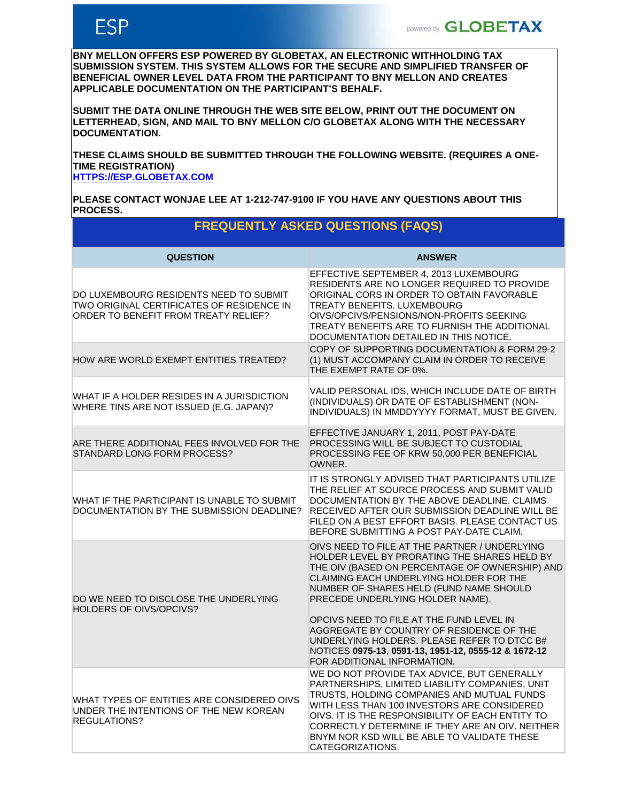

**BNY MELLON OFFERS ESP POWERED BY GLOBETAX, AN ELECTRONIC WITHHOLDING TAX SUBMISSION SYSTEM. THIS SYSTEM ALLOWS FOR THE SECURE AND SIMPLIFIED TRANSFER OF BENEFICIAL OWNER LEVEL DATA FROM THE PARTICIPANT TO BNY MELLON AND CREATES APPLICABLE DOCUMENTATION ON THE PARTICIPANT'S BEHALF.** 

**SUBMIT THE DATA ONLINE THROUGH THE WEB SITE BELOW, PRINT OUT THE DOCUMENT ON LETTERHEAD, SIGN, AND MAIL TO BNY MELLON C/O GLOBETAX ALONG WITH THE NECESSARY DOCUMENTATION.**

**THESE CLAIMS SHOULD BE SUBMITTED THROUGH THE FOLLOWING WEBSITE. (REQUIRES A ONE-TIME REGISTRATION)**

**[HTTPS://ESP.GLOBETAX.COM](https://www.globetaxesp.com/)**

**PLEASE CONTACT WONJAE LEE AT 1-212-747-9100 IF YOU HAVE ANY QUESTIONS ABOUT THIS PROCESS. FREQUENTLY ASKED QUESTIONS (FAQS)**

|                                                                                                                             | FREQUENTLY ASKED QUESTIONS (FAQS)                                                                                                                                                                                                                                                                                                                                                                                                                                                                       |
|-----------------------------------------------------------------------------------------------------------------------------|---------------------------------------------------------------------------------------------------------------------------------------------------------------------------------------------------------------------------------------------------------------------------------------------------------------------------------------------------------------------------------------------------------------------------------------------------------------------------------------------------------|
| <b>QUESTION</b>                                                                                                             | <b>ANSWER</b>                                                                                                                                                                                                                                                                                                                                                                                                                                                                                           |
| DO LUXEMBOURG RESIDENTS NEED TO SUBMIT<br>TWO ORIGINAL CERTIFICATES OF RESIDENCE IN<br>ORDER TO BENEFIT FROM TREATY RELIEF? | EFFECTIVE SEPTEMBER 4, 2013 LUXEMBOURG<br>RESIDENTS ARE NO LONGER REQUIRED TO PROVIDE<br>ORIGINAL CORS IN ORDER TO OBTAIN FAVORABLE<br>TREATY BENEFITS. LUXEMBOURG<br>OIVS/OPCIVS/PENSIONS/NON-PROFITS SEEKING<br>TREATY BENEFITS ARE TO FURNISH THE ADDITIONAL<br>DOCUMENTATION DETAILED IN THIS NOTICE.                                                                                                                                                                                               |
| HOW ARE WORLD EXEMPT ENTITIES TREATED?                                                                                      | COPY OF SUPPORTING DOCUMENTATION & FORM 29-2<br>(1) MUST ACCOMPANY CLAIM IN ORDER TO RECEIVE<br>THE EXEMPT RATE OF 0%.                                                                                                                                                                                                                                                                                                                                                                                  |
| WHAT IF A HOLDER RESIDES IN A JURISDICTION.<br>WHERE TINS ARE NOT ISSUED (E.G. JAPAN)?                                      | VALID PERSONAL IDS, WHICH INCLUDE DATE OF BIRTH<br>(INDIVIDUALS) OR DATE OF ESTABLISHMENT (NON-<br>INDIVIDUALS) IN MMDDYYYY FORMAT, MUST BE GIVEN.                                                                                                                                                                                                                                                                                                                                                      |
| ARE THERE ADDITIONAL FEES INVOLVED FOR THE<br>STANDARD LONG FORM PROCESS?                                                   | EFFECTIVE JANUARY 1, 2011, POST PAY-DATE<br>PROCESSING WILL BE SUBJECT TO CUSTODIAL<br>PROCESSING FEE OF KRW 50,000 PER BENEFICIAL<br>OWNER.                                                                                                                                                                                                                                                                                                                                                            |
| WHAT IF THE PARTICIPANT IS UNABLE TO SUBMIT<br>DOCUMENTATION BY THE SUBMISSION DEADLINE?                                    | IT IS STRONGLY ADVISED THAT PARTICIPANTS UTILIZE<br>THE RELIEF AT SOURCE PROCESS AND SUBMIT VALID<br>DOCUMENTATION BY THE ABOVE DEADLINE, CLAIMS<br>RECEIVED AFTER OUR SUBMISSION DEADLINE WILL BE<br>FILED ON A BEST EFFORT BASIS. PLEASE CONTACT US<br>BEFORE SUBMITTING A POST PAY-DATE CLAIM.                                                                                                                                                                                                       |
| DO WE NEED TO DISCLOSE THE UNDERLYING<br><b>HOLDERS OF OIVS/OPCIVS?</b>                                                     | OIVS NEED TO FILE AT THE PARTNER / UNDERLYING<br>HOLDER LEVEL BY PRORATING THE SHARES HELD BY<br>THE OIV (BASED ON PERCENTAGE OF OWNERSHIP) AND<br>CLAIMING EACH UNDERLYING HOLDER FOR THE<br>NUMBER OF SHARES HELD (FUND NAME SHOULD<br>PRECEDE UNDERLYING HOLDER NAME).<br>OPCIVS NEED TO FILE AT THE FUND LEVEL IN<br>AGGREGATE BY COUNTRY OF RESIDENCE OF THE<br>UNDERLYING HOLDERS. PLEASE REFER TO DTCC B#<br>NOTICES 0975-13, 0591-13, 1951-12, 0555-12 & 1672-12<br>FOR ADDITIONAL INFORMATION. |
| WHAT TYPES OF ENTITIES ARE CONSIDERED OIVS<br>UNDER THE INTENTIONS OF THE NEW KOREAN<br>REGULATIONS?                        | WE DO NOT PROVIDE TAX ADVICE, BUT GENERALLY<br>PARTNERSHIPS, LIMITED LIABILITY COMPANIES, UNIT<br>TRUSTS, HOLDING COMPANIES AND MUTUAL FUNDS<br>WITH LESS THAN 100 INVESTORS ARE CONSIDERED<br>OIVS. IT IS THE RESPONSIBILITY OF EACH ENTITY TO<br>CORRECTLY DETERMINE IF THEY ARE AN OIV. NEITHER<br>BNYM NOR KSD WILL BE ABLE TO VALIDATE THESE<br>CATEGORIZATIONS.                                                                                                                                   |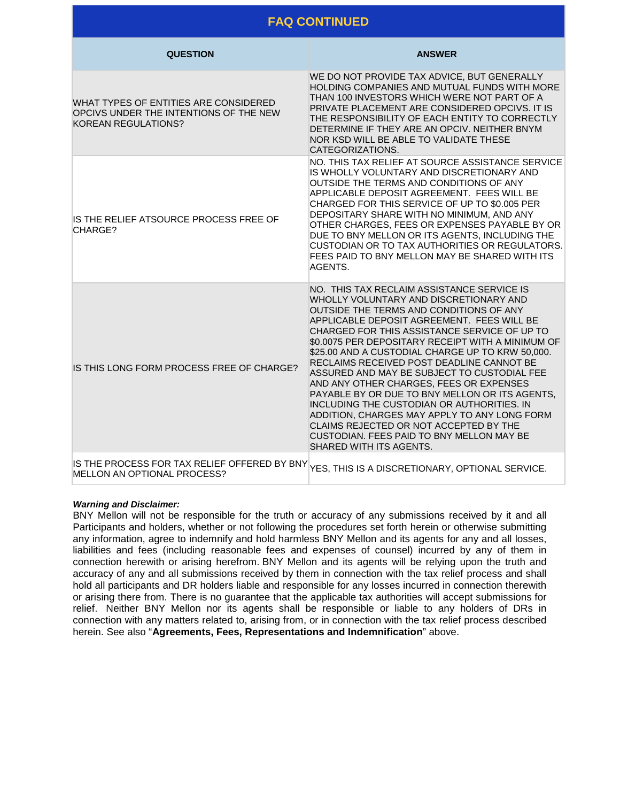|                                                                                                               | <b>FAQ CONTINUED</b>                                                                                                                                                                                                                                                                                                                                                                                                                                                                                                                                                                                                                                                                                                                            |
|---------------------------------------------------------------------------------------------------------------|-------------------------------------------------------------------------------------------------------------------------------------------------------------------------------------------------------------------------------------------------------------------------------------------------------------------------------------------------------------------------------------------------------------------------------------------------------------------------------------------------------------------------------------------------------------------------------------------------------------------------------------------------------------------------------------------------------------------------------------------------|
| <b>QUESTION</b>                                                                                               | <b>ANSWER</b>                                                                                                                                                                                                                                                                                                                                                                                                                                                                                                                                                                                                                                                                                                                                   |
| WHAT TYPES OF ENTITIES ARE CONSIDERED<br>OPCIVS UNDER THE INTENTIONS OF THE NEW<br><b>KOREAN REGULATIONS?</b> | WE DO NOT PROVIDE TAX ADVICE, BUT GENERALLY<br>HOLDING COMPANIES AND MUTUAL FUNDS WITH MORE<br>THAN 100 INVESTORS WHICH WERE NOT PART OF A<br>PRIVATE PLACEMENT ARE CONSIDERED OPCIVS. IT IS<br>THE RESPONSIBILITY OF EACH ENTITY TO CORRECTLY<br>DETERMINE IF THEY ARE AN OPCIV. NEITHER BNYM<br>NOR KSD WILL BE ABLE TO VALIDATE THESE<br>CATEGORIZATIONS.                                                                                                                                                                                                                                                                                                                                                                                    |
| IS THE RELIEF ATSOURCE PROCESS FREE OF<br>CHARGE?                                                             | NO. THIS TAX RELIEF AT SOURCE ASSISTANCE SERVICE<br>IS WHOLLY VOLUNTARY AND DISCRETIONARY AND<br>OUTSIDE THE TERMS AND CONDITIONS OF ANY<br>APPLICABLE DEPOSIT AGREEMENT. FEES WILL BE<br>CHARGED FOR THIS SERVICE OF UP TO \$0.005 PER<br>DEPOSITARY SHARE WITH NO MINIMUM, AND ANY<br>OTHER CHARGES, FEES OR EXPENSES PAYABLE BY OR<br>DUE TO BNY MELLON OR ITS AGENTS, INCLUDING THE<br>CUSTODIAN OR TO TAX AUTHORITIES OR REGULATORS.<br>FEES PAID TO BNY MELLON MAY BE SHARED WITH ITS<br>AGENTS.                                                                                                                                                                                                                                          |
| IS THIS LONG FORM PROCESS FREE OF CHARGE?                                                                     | NO. THIS TAX RECLAIM ASSISTANCE SERVICE IS<br>WHOLLY VOLUNTARY AND DISCRETIONARY AND<br>OUTSIDE THE TERMS AND CONDITIONS OF ANY<br>APPLICABLE DEPOSIT AGREEMENT. FEES WILL BE<br>CHARGED FOR THIS ASSISTANCE SERVICE OF UP TO<br>\$0.0075 PER DEPOSITARY RECEIPT WITH A MINIMUM OF<br>\$25.00 AND A CUSTODIAL CHARGE UP TO KRW 50,000.<br>RECLAIMS RECEIVED POST DEADLINE CANNOT BE<br>ASSURED AND MAY BE SUBJECT TO CUSTODIAL FEE<br>AND ANY OTHER CHARGES, FEES OR EXPENSES<br>PAYABLE BY OR DUE TO BNY MELLON OR ITS AGENTS.<br>INCLUDING THE CUSTODIAN OR AUTHORITIES. IN<br>ADDITION, CHARGES MAY APPLY TO ANY LONG FORM<br>CLAIMS REJECTED OR NOT ACCEPTED BY THE<br>CUSTODIAN. FEES PAID TO BNY MELLON MAY BE<br>SHARED WITH ITS AGENTS. |
| IS THE PROCESS FOR TAX RELIEF OFFERED BY BNY<br>MELLON AN OPTIONAL PROCESS?                                   | YES, THIS IS A DISCRETIONARY, OPTIONAL SERVICE.                                                                                                                                                                                                                                                                                                                                                                                                                                                                                                                                                                                                                                                                                                 |

#### *Warning and Disclaimer:*

BNY Mellon will not be responsible for the truth or accuracy of any submissions received by it and all Participants and holders, whether or not following the procedures set forth herein or otherwise submitting any information, agree to indemnify and hold harmless BNY Mellon and its agents for any and all losses, liabilities and fees (including reasonable fees and expenses of counsel) incurred by any of them in connection herewith or arising herefrom. BNY Mellon and its agents will be relying upon the truth and accuracy of any and all submissions received by them in connection with the tax relief process and shall hold all participants and DR holders liable and responsible for any losses incurred in connection therewith or arising there from. There is no guarantee that the applicable tax authorities will accept submissions for relief. Neither BNY Mellon nor its agents shall be responsible or liable to any holders of DRs in connection with any matters related to, arising from, or in connection with the tax relief process described herein. See also "**Agreements, Fees, Representations and Indemnification**" above.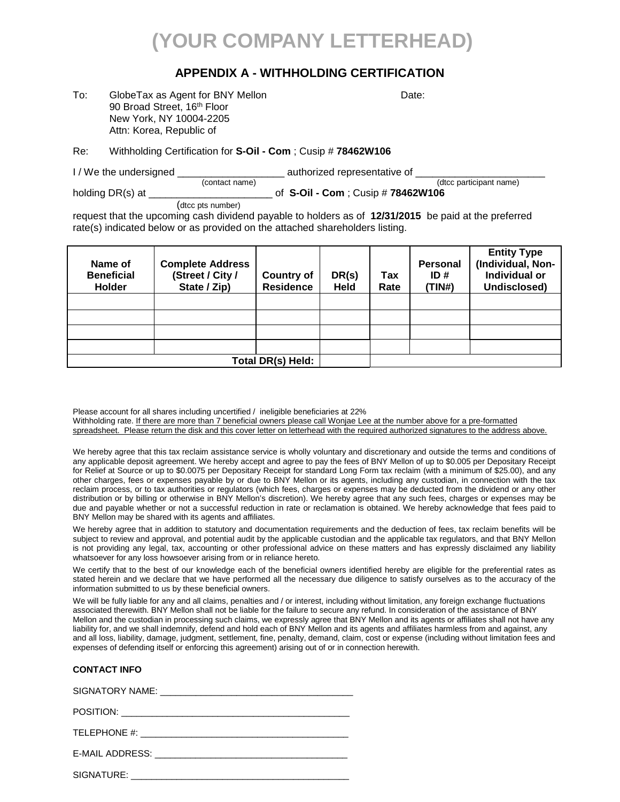# **(YOUR COMPANY LETTERHEAD)**

#### **APPENDIX A - WITHHOLDING CERTIFICATION**

To: GlobeTax as Agent for BNY Mellon Date: 90 Broad Street, 16<sup>th</sup> Floor New York, NY 10004-2205 Attn: Korea, Republic of

Re: Withholding Certification for **S-Oil - Com** ; Cusip # **78462W106**

| I / We the undersigned |                | authorized representative of |                         |
|------------------------|----------------|------------------------------|-------------------------|
|                        | (contact name) |                              | (dtcc participant name) |

holding DR(s) at \_\_\_\_\_\_\_\_\_\_\_\_\_\_\_\_\_\_\_\_\_\_ of **S-Oil - Com** ; Cusip # **78462W106** 

(dtcc pts number)

request that the upcoming cash dividend payable to holders as of **12/31/2015** be paid at the preferred rate(s) indicated below or as provided on the attached shareholders listing.

| Name of<br><b>Beneficial</b><br><b>Holder</b> | <b>Complete Address</b><br>(Street / City /<br>State / Zip) | <b>Country of</b><br><b>Residence</b> | DR(s)<br><b>Held</b> | Tax<br>Rate | <b>Personal</b><br>ID#<br>(TIN#) | <b>Entity Type</b><br>(Individual, Non-<br>Individual or<br>Undisclosed) |
|-----------------------------------------------|-------------------------------------------------------------|---------------------------------------|----------------------|-------------|----------------------------------|--------------------------------------------------------------------------|
|                                               |                                                             |                                       |                      |             |                                  |                                                                          |
|                                               |                                                             |                                       |                      |             |                                  |                                                                          |
|                                               |                                                             |                                       |                      |             |                                  |                                                                          |
|                                               |                                                             |                                       |                      |             |                                  |                                                                          |
|                                               |                                                             | Total DR(s) Held:                     |                      |             |                                  |                                                                          |

Please account for all shares including uncertified / ineligible beneficiaries at 22%

Withholding rate. If there are more than 7 beneficial owners please call Wonjae Lee at the number above for a pre-formatted spreadsheet. Please return the disk and this cover letter on letterhead with the required authorized signatures to the address above.

We hereby agree that this tax reclaim assistance service is wholly voluntary and discretionary and outside the terms and conditions of any applicable deposit agreement. We hereby accept and agree to pay the fees of BNY Mellon of up to \$0.005 per Depositary Receipt for Relief at Source or up to \$0.0075 per Depositary Receipt for standard Long Form tax reclaim (with a minimum of \$25.00), and any other charges, fees or expenses payable by or due to BNY Mellon or its agents, including any custodian, in connection with the tax reclaim process, or to tax authorities or regulators (which fees, charges or expenses may be deducted from the dividend or any other distribution or by billing or otherwise in BNY Mellon's discretion). We hereby agree that any such fees, charges or expenses may be due and payable whether or not a successful reduction in rate or reclamation is obtained. We hereby acknowledge that fees paid to BNY Mellon may be shared with its agents and affiliates.

We hereby agree that in addition to statutory and documentation requirements and the deduction of fees, tax reclaim benefits will be subject to review and approval, and potential audit by the applicable custodian and the applicable tax regulators, and that BNY Mellon is not providing any legal, tax, accounting or other professional advice on these matters and has expressly disclaimed any liability whatsoever for any loss howsoever arising from or in reliance hereto.

We certify that to the best of our knowledge each of the beneficial owners identified hereby are eligible for the preferential rates as stated herein and we declare that we have performed all the necessary due diligence to satisfy ourselves as to the accuracy of the information submitted to us by these beneficial owners.

We will be fully liable for any and all claims, penalties and / or interest, including without limitation, any foreign exchange fluctuations associated therewith. BNY Mellon shall not be liable for the failure to secure any refund. In consideration of the assistance of BNY Mellon and the custodian in processing such claims, we expressly agree that BNY Mellon and its agents or affiliates shall not have any liability for, and we shall indemnify, defend and hold each of BNY Mellon and its agents and affiliates harmless from and against, any and all loss, liability, damage, judgment, settlement, fine, penalty, demand, claim, cost or expense (including without limitation fees and expenses of defending itself or enforcing this agreement) arising out of or in connection herewith.

#### **CONTACT INFO**

| SIGNATURE: ______________________________ |
|-------------------------------------------|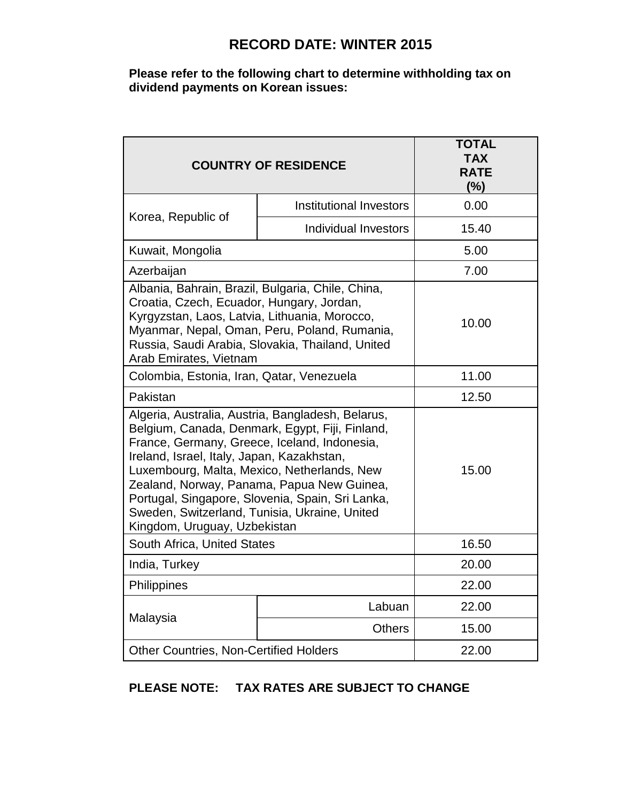## **RECORD DATE: WINTER 2015**

**Please refer to the following chart to determine withholding tax on dividend payments on Korean issues:**

| <b>COUNTRY OF RESIDENCE</b>                                                                                                                                                                                                                                                                                                                                                                                                          | <b>TOTAL</b><br><b>TAX</b><br><b>RATE</b><br>(%) |       |  |  |  |
|--------------------------------------------------------------------------------------------------------------------------------------------------------------------------------------------------------------------------------------------------------------------------------------------------------------------------------------------------------------------------------------------------------------------------------------|--------------------------------------------------|-------|--|--|--|
| Korea, Republic of                                                                                                                                                                                                                                                                                                                                                                                                                   | <b>Institutional Investors</b>                   | 0.00  |  |  |  |
|                                                                                                                                                                                                                                                                                                                                                                                                                                      | Individual Investors                             | 15.40 |  |  |  |
| Kuwait, Mongolia                                                                                                                                                                                                                                                                                                                                                                                                                     |                                                  | 5.00  |  |  |  |
| Azerbaijan                                                                                                                                                                                                                                                                                                                                                                                                                           |                                                  | 7.00  |  |  |  |
| Albania, Bahrain, Brazil, Bulgaria, Chile, China,<br>Croatia, Czech, Ecuador, Hungary, Jordan,<br>Kyrgyzstan, Laos, Latvia, Lithuania, Morocco,<br>Myanmar, Nepal, Oman, Peru, Poland, Rumania,<br>Russia, Saudi Arabia, Slovakia, Thailand, United<br>Arab Emirates, Vietnam                                                                                                                                                        | 10.00                                            |       |  |  |  |
| Colombia, Estonia, Iran, Qatar, Venezuela                                                                                                                                                                                                                                                                                                                                                                                            |                                                  | 11.00 |  |  |  |
| Pakistan                                                                                                                                                                                                                                                                                                                                                                                                                             | 12.50                                            |       |  |  |  |
| Algeria, Australia, Austria, Bangladesh, Belarus,<br>Belgium, Canada, Denmark, Egypt, Fiji, Finland,<br>France, Germany, Greece, Iceland, Indonesia,<br>Ireland, Israel, Italy, Japan, Kazakhstan,<br>Luxembourg, Malta, Mexico, Netherlands, New<br>Zealand, Norway, Panama, Papua New Guinea,<br>Portugal, Singapore, Slovenia, Spain, Sri Lanka,<br>Sweden, Switzerland, Tunisia, Ukraine, United<br>Kingdom, Uruguay, Uzbekistan | 15.00                                            |       |  |  |  |
| South Africa, United States                                                                                                                                                                                                                                                                                                                                                                                                          | 16.50                                            |       |  |  |  |
| India, Turkey                                                                                                                                                                                                                                                                                                                                                                                                                        | 20.00                                            |       |  |  |  |
| Philippines                                                                                                                                                                                                                                                                                                                                                                                                                          | 22.00                                            |       |  |  |  |
| Malaysia                                                                                                                                                                                                                                                                                                                                                                                                                             | Labuan                                           | 22.00 |  |  |  |
|                                                                                                                                                                                                                                                                                                                                                                                                                                      | <b>Others</b>                                    | 15.00 |  |  |  |
| Other Countries, Non-Certified Holders<br>22.00                                                                                                                                                                                                                                                                                                                                                                                      |                                                  |       |  |  |  |

**PLEASE NOTE: TAX RATES ARE SUBJECT TO CHANGE**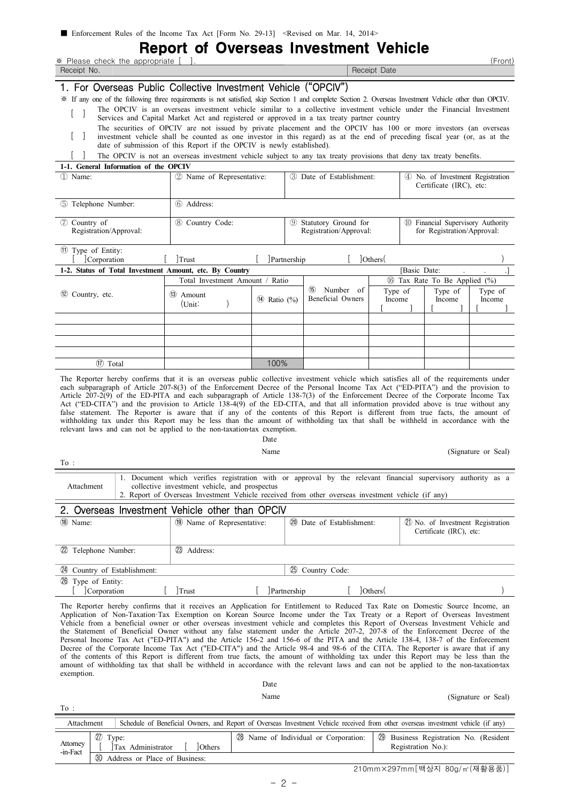|                                                                                                                                                                                                                                                                                                                                                                                                                                                                                                                                                                                                                                                                                                                                                                                                                                                                                                                                                                                                                                                                                                    |                                               |                    |             | <b>Report of Overseas Investment Vehicle</b>                                                                                                                                                                       |                   |              |                                                                             |                     |
|----------------------------------------------------------------------------------------------------------------------------------------------------------------------------------------------------------------------------------------------------------------------------------------------------------------------------------------------------------------------------------------------------------------------------------------------------------------------------------------------------------------------------------------------------------------------------------------------------------------------------------------------------------------------------------------------------------------------------------------------------------------------------------------------------------------------------------------------------------------------------------------------------------------------------------------------------------------------------------------------------------------------------------------------------------------------------------------------------|-----------------------------------------------|--------------------|-------------|--------------------------------------------------------------------------------------------------------------------------------------------------------------------------------------------------------------------|-------------------|--------------|-----------------------------------------------------------------------------|---------------------|
| ※ Please check the appropriate [ ].<br>Receipt No.                                                                                                                                                                                                                                                                                                                                                                                                                                                                                                                                                                                                                                                                                                                                                                                                                                                                                                                                                                                                                                                 |                                               |                    |             |                                                                                                                                                                                                                    | Receipt Date      |              |                                                                             | (Front)             |
| 1. For Overseas Public Collective Investment Vehicle ("OPCIV")<br>* If any one of the following three requirements is not satisfied, skip Section 1 and complete Section 2. Overseas Investment Vehicle other than OPCIV.<br>The OPCIV is an overseas investment vehicle similar to a collective investment vehicle under the Financial Investment<br>Services and Capital Market Act and registered or approved in a tax treaty partner country<br>The securities of OPCIV are not issued by private placement and the OPCIV has 100 or more investors (an overseas<br>investment vehicle shall be counted as one investor in this regard) as at the end of preceding fiscal year (or, as at the<br>$\Box$                                                                                                                                                                                                                                                                                                                                                                                        |                                               |                    |             |                                                                                                                                                                                                                    |                   |              |                                                                             |                     |
| date of submission of this Report if the OPCIV is newly established).<br>The OPCIV is not an overseas investment vehicle subject to any tax treaty provisions that deny tax treaty benefits.                                                                                                                                                                                                                                                                                                                                                                                                                                                                                                                                                                                                                                                                                                                                                                                                                                                                                                       |                                               |                    |             |                                                                                                                                                                                                                    |                   |              |                                                                             |                     |
| 1-1. General Information of the OPCIV<br>1 Name:                                                                                                                                                                                                                                                                                                                                                                                                                                                                                                                                                                                                                                                                                                                                                                                                                                                                                                                                                                                                                                                   | 2 Name of Representative:                     |                    |             | 3 Date of Establishment:                                                                                                                                                                                           |                   |              | 4 No. of Investment Registration<br>Certificate (IRC), etc:                 |                     |
| 5 Telephone Number:                                                                                                                                                                                                                                                                                                                                                                                                                                                                                                                                                                                                                                                                                                                                                                                                                                                                                                                                                                                                                                                                                | 6 Address:                                    |                    |             |                                                                                                                                                                                                                    |                   |              |                                                                             |                     |
| 7 Country of<br>Registration/Approval:                                                                                                                                                                                                                                                                                                                                                                                                                                                                                                                                                                                                                                                                                                                                                                                                                                                                                                                                                                                                                                                             | 8 Country Code:                               |                    |             | <b>9 Statutory Ground for</b><br>Registration/Approval:                                                                                                                                                            |                   |              | <sup>10</sup> Financial Supervisory Authority<br>for Registration/Approval: |                     |
| <sup>(1)</sup> Type of Entity:<br>Corporation                                                                                                                                                                                                                                                                                                                                                                                                                                                                                                                                                                                                                                                                                                                                                                                                                                                                                                                                                                                                                                                      | <sup>1</sup> Trust                            |                    | Partnership |                                                                                                                                                                                                                    | ]Others           |              |                                                                             |                     |
| 1-2. Status of Total Investment Amount, etc. By Country                                                                                                                                                                                                                                                                                                                                                                                                                                                                                                                                                                                                                                                                                                                                                                                                                                                                                                                                                                                                                                            |                                               |                    |             |                                                                                                                                                                                                                    |                   | [Basic Date: |                                                                             |                     |
|                                                                                                                                                                                                                                                                                                                                                                                                                                                                                                                                                                                                                                                                                                                                                                                                                                                                                                                                                                                                                                                                                                    | Total Investment Amount / Ratio               |                    |             | (15)<br>Number of                                                                                                                                                                                                  |                   |              | <b>66 Tax Rate To Be Applied (%)</b>                                        |                     |
| (12) Country, etc.                                                                                                                                                                                                                                                                                                                                                                                                                                                                                                                                                                                                                                                                                                                                                                                                                                                                                                                                                                                                                                                                                 | $(13)$ Amount<br>(Unit)                       | $(14)$ Ratio $(%)$ |             | Beneficial Owners                                                                                                                                                                                                  | Type of<br>Income |              | Type of<br>Income                                                           | Type of<br>Income   |
|                                                                                                                                                                                                                                                                                                                                                                                                                                                                                                                                                                                                                                                                                                                                                                                                                                                                                                                                                                                                                                                                                                    |                                               |                    |             |                                                                                                                                                                                                                    |                   |              |                                                                             |                     |
| 17 Total                                                                                                                                                                                                                                                                                                                                                                                                                                                                                                                                                                                                                                                                                                                                                                                                                                                                                                                                                                                                                                                                                           |                                               | 100%               |             |                                                                                                                                                                                                                    |                   |              |                                                                             |                     |
| Article 207-2(9) of the ED-PITA and each subparagraph of Article 138-7(3) of the Enforcement Decree of the Corporate Income Tax<br>Act ("ED-CITA") and the provision to Article 138-4(9) of the ED-CITA, and that all information provided above is true without any<br>false statement. The Reporter is aware that if any of the contents of this Report is different from true facts, the amount of<br>withholding tax under this Report may be less than the amount of withholding tax that shall be withheld in accordance with the<br>relevant laws and can not be applied to the non-taxation-tax exemption.                                                                                                                                                                                                                                                                                                                                                                                                                                                                                 |                                               | Date               |             |                                                                                                                                                                                                                    |                   |              |                                                                             |                     |
| To:                                                                                                                                                                                                                                                                                                                                                                                                                                                                                                                                                                                                                                                                                                                                                                                                                                                                                                                                                                                                                                                                                                |                                               | Name               |             |                                                                                                                                                                                                                    |                   |              |                                                                             | (Signature or Seal) |
| Attachment                                                                                                                                                                                                                                                                                                                                                                                                                                                                                                                                                                                                                                                                                                                                                                                                                                                                                                                                                                                                                                                                                         | collective investment vehicle, and prospectus |                    |             | 1. Document which verifies registration with or approval by the relevant financial supervisory authority as a<br>2. Report of Overseas Investment Vehicle received from other overseas investment vehicle (if any) |                   |              |                                                                             |                     |
| 2. Overseas Investment Vehicle other than OPCIV                                                                                                                                                                                                                                                                                                                                                                                                                                                                                                                                                                                                                                                                                                                                                                                                                                                                                                                                                                                                                                                    |                                               |                    |             |                                                                                                                                                                                                                    |                   |              |                                                                             |                     |
| $(18)$ Name:                                                                                                                                                                                                                                                                                                                                                                                                                                                                                                                                                                                                                                                                                                                                                                                                                                                                                                                                                                                                                                                                                       | (19) Name of Representative:                  |                    |             | (20 Date of Establishment:                                                                                                                                                                                         |                   |              | (21) No. of Investment Registration<br>Certificate (IRC), etc:              |                     |
| 22 Telephone Number:                                                                                                                                                                                                                                                                                                                                                                                                                                                                                                                                                                                                                                                                                                                                                                                                                                                                                                                                                                                                                                                                               | (23) Address:                                 |                    |             |                                                                                                                                                                                                                    |                   |              |                                                                             |                     |
| 24 Country of Establishment:                                                                                                                                                                                                                                                                                                                                                                                                                                                                                                                                                                                                                                                                                                                                                                                                                                                                                                                                                                                                                                                                       |                                               |                    |             | 25 Country Code:                                                                                                                                                                                                   |                   |              |                                                                             |                     |
| 26 Type of Entity:<br>Corporation                                                                                                                                                                                                                                                                                                                                                                                                                                                                                                                                                                                                                                                                                                                                                                                                                                                                                                                                                                                                                                                                  | Trust                                         |                    | Partnership |                                                                                                                                                                                                                    | ]Others(          |              |                                                                             |                     |
| The Reporter hereby confirms that it receives an Application for Entitlement to Reduced Tax Rate on Domestic Source Income, an<br>Application of Non-Taxation Tax Exemption on Korean Source Income under the Tax Treaty or a Report of Overseas Investment<br>Vehicle from a beneficial owner or other overseas investment vehicle and completes this Report of Overseas Investment Vehicle and<br>the Statement of Beneficial Owner without any false statement under the Article 207-2, 207-8 of the Enforcement Decree of the<br>Personal Income Tax Act ("ED-PITA") and the Article 156-2 and 156-6 of the PITA and the Article 138-4, 138-7 of the Enforcement<br>Decree of the Corporate Income Tax Act ("ED-CITA") and the Article 98-4 and 98-6 of the CITA. The Reporter is aware that if any<br>of the contents of this Report is different from true facts, the amount of withholding tax under this Report may be less than the<br>amount of withholding tax that shall be withheld in accordance with the relevant laws and can not be applied to the non-taxation-tax<br>exemption. |                                               |                    |             |                                                                                                                                                                                                                    |                   |              |                                                                             |                     |
|                                                                                                                                                                                                                                                                                                                                                                                                                                                                                                                                                                                                                                                                                                                                                                                                                                                                                                                                                                                                                                                                                                    |                                               | Date               |             |                                                                                                                                                                                                                    |                   |              |                                                                             |                     |
|                                                                                                                                                                                                                                                                                                                                                                                                                                                                                                                                                                                                                                                                                                                                                                                                                                                                                                                                                                                                                                                                                                    |                                               | Name               |             |                                                                                                                                                                                                                    |                   |              |                                                                             | (Signature or Seal) |
| To:                                                                                                                                                                                                                                                                                                                                                                                                                                                                                                                                                                                                                                                                                                                                                                                                                                                                                                                                                                                                                                                                                                |                                               |                    |             |                                                                                                                                                                                                                    |                   |              |                                                                             |                     |

| Attachment           |          |                                             |  | Schedule of Beneficial Owners, and Report of Overseas Investment Vehicle received from other overseas investment vehicle (if any) |
|----------------------|----------|---------------------------------------------|--|-----------------------------------------------------------------------------------------------------------------------------------|
| Attorney<br>-in-Fact | Ø        | Type:<br>Tax Administrator<br><b>Others</b> |  | 23 Name of Individual or Corporation:   29 Business Registration No. (Resident<br>Registration No.):                              |
|                      | $\Omega$ | Address or Place of Business:               |  |                                                                                                                                   |
|                      |          |                                             |  | 210mm×297mm[백상지 80g/m'(재활용품)]                                                                                                     |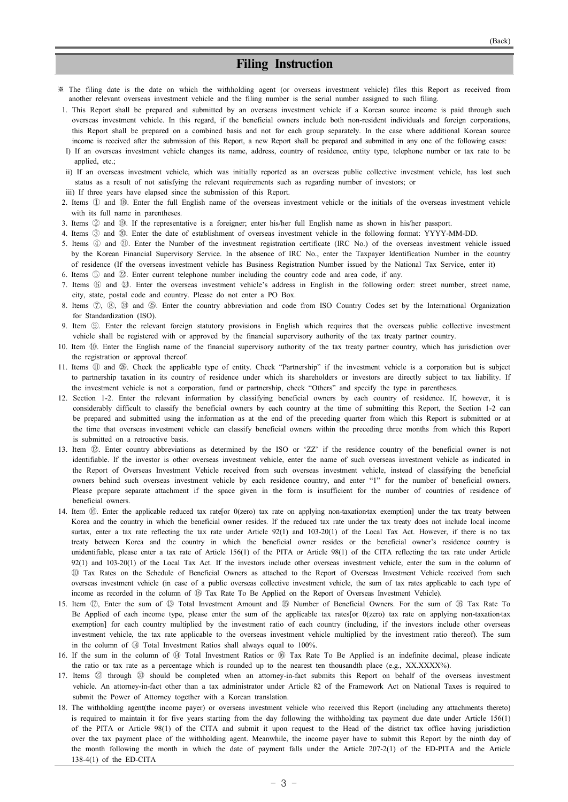#### **Filing Instruction**

- ※ The filing date is the date on which the withholding agent (or overseas investment vehicle) files this Report as received from another relevant overseas investment vehicle and the filing number is the serial number assigned to such filing.
- 1. This Report shall be prepared and submitted by an overseas investment vehicle if a Korean source income is paid through such overseas investment vehicle. In this regard, if the beneficial owners include both non-residen this Report shall be prepared on a combined basis and not for each group separately. In the case where additional Korean source<br>income is received after the submission of this Report, a new Report shall be prepared and sub
- I) If an overseas investment vehicle changes its name, address, country of residence, entity type, telephone number or tax rate to be applied, etc.;
- ii) If an overseas investment vehicle, which was initially reported as an overseas public collective investment vehicle, has lost such status as a result of not satisfying the relevant requirements such as regarding number of investors; or
- iii) If three years have elapsed since the submission of this Report.
- 2. Items ① and ⑱. Enter the full English name of the overseas investment vehicle or the initials of the overseas investment vehicle with its full name in parentheses.
- 3. Items ② and ⑲. If the representative is a foreigner; enter his/her full English name as shown in his/her passport.
- 4. Items ③ and ⑳. Enter the date of establishment of overseas investment vehicle in the following format: YYYY-MM-DD.
- 5. Items  $\circled{4}$  and  $\circled{2}$ ). Enter the Number of the investment registration certificate (IRC No.) of the overseas investment vehicle issued by the Korean Financial Supervisory Service. In the absence of IRC No., enter the Taxpayer Identification Number in the country of residence (If the overseas investment vehicle has Business Registration Number issued by the National Tax Service, enter it)
- 6. Items  $\circled{5}$  and  $\circled{2}$ . Enter current telephone number including the country code and area code, if any.
- 7. Items  $\circled{2}$  and  $\circled{2}$ . Enter the overseas investment vehicle's address in English in the following order: street number, street name, city, state, postal code and country. Please do not enter a PO Box.
- 8. Items  $\mathbb{O}, \mathbb{O}, \mathbb{Q}$  and  $\mathbb{O}$ . Enter the country abbreviation and code from ISO Country Codes set by the International Organization for Standardization (ISO).
- 9. Item ⑨. Enter the relevant foreign statutory provisions in English which requires that the overseas public collective investment vehicle shall be registered with or approved by the financial supervisory authority of the tax treaty partner country.
- 10. Item  $\textcircled{1}$ . Enter the English name of the financial supervisory authority of the tax treaty partner country, which has jurisdiction over the registration or approval thereof.
- 11. Items 1 and 26. Check the applicable type of entity. Check "Partnership" if the investment vehicle is a corporation but is subject to partnership taxation in its country of residence under which its shareholders or investors are directly subject to tax liability. If the investment vehicle is not a corporation, fund or partnership, check "Others" and specify the type in parentheses.
- 12. Section 1-2. Enter the relevant information by classifying beneficial owners by each country of residence. If, however, it is considerably difficult to classify the beneficial owners by each country at the time of submitting this Report, the Section 1-2 can<br>be prepared and submitted using the information as at the end of the preceding quarter fro the time that overseas investment vehicle can classify beneficial owners within the preceding three months from which this Report is submitted on a retroactive basis.
- 13. Item (2). Enter country abbreviations as determined by the ISO or 'ZZ' if the residence country of the beneficial owner is not identifiable. If the investor is other overseas investment vehicle, enter the name of such overseas investment vehicle as indicated in the Report of Overseas Investment Vehicle received from such overseas investment vehicle, instead of classifying the beneficial<br>owners behind such overseas investment vehicle by each residence country, and enter "1" for th beneficial owners.
- 14. Item  $\circledR$ . Enter the applicable reduced tax rate[or 0(zero) tax rate on applying non-taxation-tax exemption] under the tax treaty between Korea and the country in which the beneficial owner resides. If the reduced tax rate under the tax treaty does not include local income surtax, enter a tax rate reflecting the tax rate under Article 92(1) and 103-20(1) of the Local Tax Act. However, if there is no tax treaty between Korea and the country in which the beneficial owner resides or the beneficial owner's residence country is unidentifiable, please enter a tax rate of Article 156(1) of the PITA or Article 98(1) of the CITA reflecting the tax rate under Article 92(1) and 103-20(1) of the Local Tax Act. If the investors include other overseas investment vehicle, enter the sum in the column of 10 Tax Rates on the Schedule of Beneficial Owners as attached to the Report of Overseas Investment Vehicle received from such overseas investment vehicle (in case of a public overseas collective investment vehicle, the sum income as recorded in the column of ⑯ Tax Rate To Be Applied on the Report of Overseas Investment Vehicle).
- 15. Item ⑰, Enter the sum of ⑬ Total Investment Amount and ⑮ Number of Beneficial Owners. For the sum of ⑯ Tax Rate To Be Applied of each income type, please enter the sum of the applicable tax rates[or 0(zero) tax rate on applying non-taxation·tax exemption] for each country multiplied by the investment ratio of each country (including, if the investors include other overseas investment vehicle, the tax rate applicable to the overseas investment vehicle multiplied b
- 16. If the sum in the column of ⑭ Total Investment Ratios or ⑯ Tax Rate To Be Applied is an indefinite decimal, please indicate the ratio or tax rate as a percentage which is rounded up to the nearest ten thousandth place (e.g., XX.XXXX%).
- 17. Items  $\oslash$  through  $\oslash$  should be completed when an attorney-in-fact submits this Report on behalf of the overseas investment vehicle. An attorney-in-fact other than a tax administrator under Article 82 of the Framework Act on National Taxes is required to submit the Power of Attorney together with a Korean translation.
- 18. The withholding agent(the income payer) or overseas investment vehicle who received this Report (including any attachments thereto) is required to maintain it for five years starting from the day following the withholding tax payment due date under Article 156(1) of the PITA or Article 98(1) of the CITA and submit it upon request to the Head of the district tax office having jurisdiction<br>over the tax payment place of the withholding agent. Meanwhile, the income payer have to submit the month following the month in which the date of payment falls under the Article 207-2(1) of the ED-PITA and the Article 138-4(1) of the ED-CITA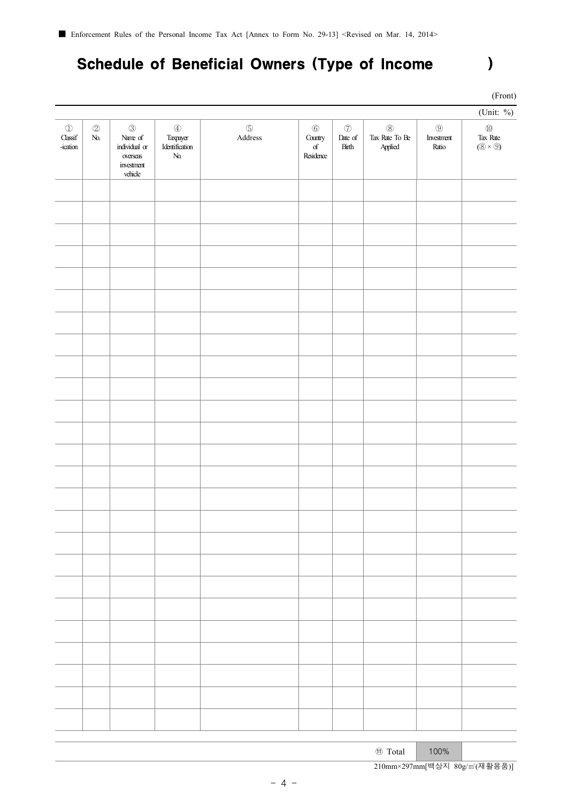# Schedule of Beneficial Owners (Type of Income )

(Front)

|                                                                  |                             |                                                                                    |                                                         |                     |                                                                   |                                 |                                          |                                    | (Unit: %)                                                                                                       |
|------------------------------------------------------------------|-----------------------------|------------------------------------------------------------------------------------|---------------------------------------------------------|---------------------|-------------------------------------------------------------------|---------------------------------|------------------------------------------|------------------------------------|-----------------------------------------------------------------------------------------------------------------|
| $\textcircled{\scriptsize{1}}$<br>$\textbf{Classif}$<br>-ication | $\circledZ$<br>$\mbox{No.}$ | $\circledS$<br>Name $\sigma$<br>individual or<br>overseas<br>investment<br>vehicle | $\circledA$<br>Taxpayer<br>Identification<br>$\rm N\!o$ | $\circledS$ Address | $^\circledR$<br>$\frac{C_{\text{untry}}}{\text{of}}$<br>Residence | $\circledT$<br>Date of<br>Birth | $\circledS$<br>Tax Rate To Be<br>Applied | $\circledS$<br>Investment<br>Ratio | $\begin{array}{c}\n\textcircled{1} \\ \text{Tax Rate} \\ (\textcircled{8} \times \textcircled{9})\n\end{array}$ |
|                                                                  |                             |                                                                                    |                                                         |                     |                                                                   |                                 |                                          |                                    |                                                                                                                 |
|                                                                  |                             |                                                                                    |                                                         |                     |                                                                   |                                 |                                          |                                    |                                                                                                                 |
|                                                                  |                             |                                                                                    |                                                         |                     |                                                                   |                                 |                                          |                                    |                                                                                                                 |
|                                                                  |                             |                                                                                    |                                                         |                     |                                                                   |                                 |                                          |                                    |                                                                                                                 |
|                                                                  |                             |                                                                                    |                                                         |                     |                                                                   |                                 |                                          |                                    |                                                                                                                 |
|                                                                  |                             |                                                                                    |                                                         |                     |                                                                   |                                 |                                          |                                    |                                                                                                                 |
|                                                                  |                             |                                                                                    |                                                         |                     |                                                                   |                                 |                                          |                                    |                                                                                                                 |
|                                                                  |                             |                                                                                    |                                                         |                     |                                                                   |                                 |                                          |                                    |                                                                                                                 |
|                                                                  |                             |                                                                                    |                                                         |                     |                                                                   |                                 |                                          |                                    |                                                                                                                 |
|                                                                  |                             |                                                                                    |                                                         |                     |                                                                   |                                 |                                          |                                    |                                                                                                                 |
|                                                                  |                             |                                                                                    |                                                         |                     |                                                                   |                                 |                                          |                                    |                                                                                                                 |
|                                                                  |                             |                                                                                    |                                                         |                     |                                                                   |                                 |                                          |                                    |                                                                                                                 |
|                                                                  |                             |                                                                                    |                                                         |                     |                                                                   |                                 |                                          |                                    |                                                                                                                 |
|                                                                  |                             |                                                                                    |                                                         |                     |                                                                   |                                 |                                          |                                    |                                                                                                                 |
|                                                                  |                             |                                                                                    |                                                         |                     |                                                                   |                                 |                                          |                                    |                                                                                                                 |
|                                                                  |                             |                                                                                    |                                                         |                     |                                                                   |                                 |                                          |                                    |                                                                                                                 |
|                                                                  |                             |                                                                                    |                                                         |                     |                                                                   |                                 |                                          |                                    |                                                                                                                 |
|                                                                  |                             |                                                                                    |                                                         |                     |                                                                   |                                 |                                          |                                    |                                                                                                                 |
|                                                                  |                             |                                                                                    |                                                         |                     |                                                                   |                                 |                                          |                                    |                                                                                                                 |
|                                                                  |                             |                                                                                    |                                                         |                     |                                                                   |                                 |                                          |                                    |                                                                                                                 |
|                                                                  |                             |                                                                                    |                                                         |                     |                                                                   |                                 |                                          |                                    |                                                                                                                 |
|                                                                  |                             |                                                                                    |                                                         |                     |                                                                   |                                 |                                          |                                    |                                                                                                                 |
|                                                                  |                             |                                                                                    |                                                         |                     |                                                                   |                                 |                                          |                                    |                                                                                                                 |
|                                                                  |                             |                                                                                    |                                                         |                     |                                                                   |                                 |                                          |                                    |                                                                                                                 |
|                                                                  |                             |                                                                                    |                                                         |                     |                                                                   |                                 |                                          |                                    |                                                                                                                 |
|                                                                  |                             |                                                                                    |                                                         |                     |                                                                   |                                 |                                          |                                    |                                                                                                                 |

210mm×297mm[백상지 80g/㎡(재활용품)]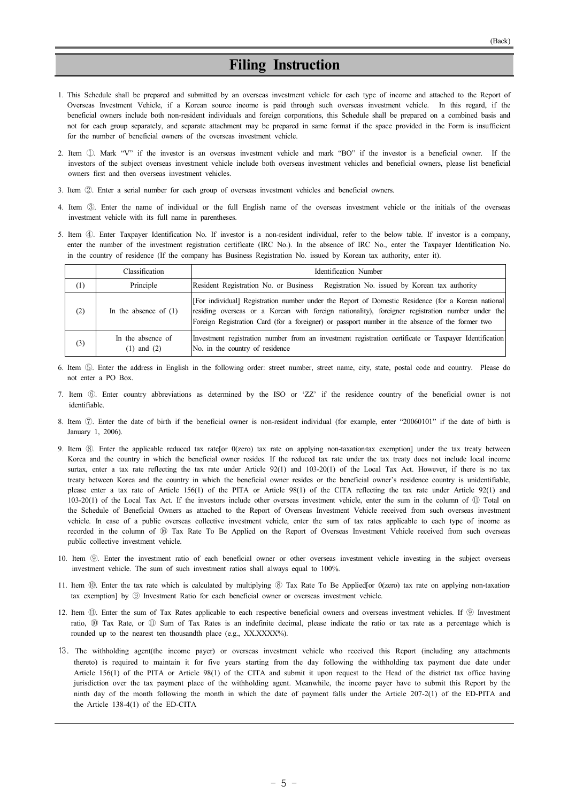## **Filing Instruction**

- 1. This Schedule shall be prepared and submitted by an overseas investment vehicle for each type of income and attached to the Report of Overseas Investment Vehicle, if a Korean source income is paid through such overseas investment vehicle. In this regard, if the beneficial owners include both non-resident individuals and foreign corporations, this Schedule shall be prepared on a combined basis and not for each group separately, and separate attachment may be prepared in same format if the space provided in the Form is insufficient for the number of beneficial owners of the overseas investment vehicle.
- 2. Item ①. Mark "V" if the investor is an overseas investment vehicle and mark "BO" if the investor is a beneficial owner. If the investors of the subject overseas investment vehicle include both overseas investment vehicles and beneficial owners, please list beneficial owners first and then overseas investment vehicles.
- 3. Item ②. Enter a serial number for each group of overseas investment vehicles and beneficial owners.
- 4. Item <sup>③</sup>. Enter the name of individual or the full English name of the overseas investment vehicle or the initials of the overseas investment vehicle with its full name in parentheses.
- 5. Item ④. Enter Taxpayer Identification No. If investor is a non-resident individual, refer to the below table. If investor is a company, enter the number of the investment registration certificate (IRC No.). In the absence of IRC No., enter the Taxpayer Identification No. in the country of residence (If the company has Business Registration No. issued by Korean tax authority, enter it).

|     | Classification                       | Identification Number                                                                                                                                                                                                                                                                                     |
|-----|--------------------------------------|-----------------------------------------------------------------------------------------------------------------------------------------------------------------------------------------------------------------------------------------------------------------------------------------------------------|
| (1) | Principle                            | Resident Registration No. or Business<br>Registration No. issued by Korean tax authority                                                                                                                                                                                                                  |
| (2) | In the absence of $(1)$              | [For individual] Registration number under the Report of Domestic Residence (for a Korean national<br>residing overseas or a Korean with foreign nationality), foreigner registration number under the<br>Foreign Registration Card (for a foreigner) or passport number in the absence of the former two |
| (3) | In the absence of<br>$(1)$ and $(2)$ | Investment registration number from an investment registration certificate or Taxpayer Identification<br>No. in the country of residence                                                                                                                                                                  |

- 6. Item ⑤. Enter the address in English in the following order: street number, street name, city, state, postal code and country. Please do not enter a PO Box.
- 7. Item ⑥. Enter country abbreviations as determined by the ISO or 'ZZ' if the residence country of the beneficial owner is not identifiable.
- 8. Item  $\oslash$ . Enter the date of birth if the beneficial owner is non-resident individual (for example, enter "20060101" if the date of birth is January 1, 2006).
- 9. Item ⑧. Enter the applicable reduced tax rate[or 0(zero) tax rate on applying non-taxation-tax exemption] under the tax treaty between Korea and the country in which the beneficial owner resides. If the reduced tax rate under the tax treaty does not include local income surtax, enter a tax rate reflecting the tax rate under Article 92(1) and 103-20(1) of the Local Tax Act. However, if there is no tax treaty between Korea and the country in which the beneficial owner resides or the beneficial owner's residence country is unidentifiable, please enter a tax rate of Article 156(1) of the PITA or Article 98(1) of the CITA reflecting the tax rate under Article 92(1) and 103-20(1) of the Local Tax Act. If the investors include other overseas investment vehicle, enter the sum in the column of 1 Total on the Schedule of Beneficial Owners as attached to the Report of Overseas Investment Vehic vehicle. In case of a public overseas collective investment vehicle, enter the sum of tax rates applicable to each type of income as recorded in the column of  $\circledB$  Tax Rate To Be Applied on the Report of Overseas Investm
- 10. Item **(i)**. Enter the investment ratio of each beneficial owner or other overseas investment vehicle investing in the subject overseas investment vehicle. The sum of such investment ratios shall always equal to 100%.
- 11. Item ①. Enter the tax rate which is calculated by multiplying ⑧ Tax Rate To Be Applied[or 0(zero) tax rate on applying non-taxation tax exemption] by ⑨ Investment Ratio for each beneficial owner or overseas investment vehicle.
- 12. Item ⑪. Enter the sum of Tax Rates applicable to each respective beneficial owners and overseas investment vehicles. If ⑨ Investment ratio, ⑩ Tax Rate, or ⑪ Sum of Tax Rates is an indefinite decimal, please indicate the ratio or tax rate as a percentage which is rounded up to the nearest ten thousandth place (e.g., XX.XXXX%).
- 13. The withholding agent(the income payer) or overseas investment vehicle who received this Report (including any attachments thereto) is required to maintain it for five years starting from the day following the withholding tax payment due date under Article 156(1) of the PITA or Article 98(1) of the CITA and submit it upon request to the Head of the district tax office having jurisdiction over the tax payment place of the withholding agent. Meanwhile, the income payer have to submit this Report by the ninth day of the month following the month in which the date of payment falls under the Article 207-2(1) of the ED-PITA and the Article 138-4(1) of the ED-CITA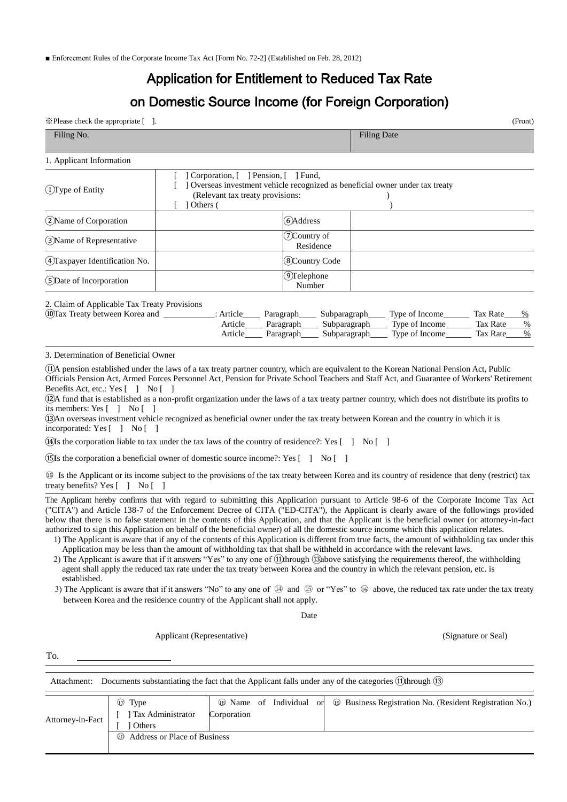■ Enforcement Rules of the Corporate Income Tax Act [Form No. 72-2] (Established on Feb. 28, 2012)

## Application for Entitlement to Reduced Tax Rate

## on Domestic Source Income (for Foreign Corporation)

| $\mathcal{X}$ Please check the appropriate $\lceil \quad \rceil$ . |                                                                                                                                                                    |                                                                                     |  |                                                    |                                  | (Front)        |
|--------------------------------------------------------------------|--------------------------------------------------------------------------------------------------------------------------------------------------------------------|-------------------------------------------------------------------------------------|--|----------------------------------------------------|----------------------------------|----------------|
| Filing No.                                                         |                                                                                                                                                                    | <b>Filing Date</b>                                                                  |  |                                                    |                                  |                |
| 1. Applicant Information                                           |                                                                                                                                                                    |                                                                                     |  |                                                    |                                  |                |
| $(1)$ Type of Entity                                               | Corporation, [ ] Pension, [ ] Fund,<br>Overseas investment vehicle recognized as beneficial owner under tax treaty<br>(Relevant tax treaty provisions:<br>Others ( |                                                                                     |  |                                                    |                                  |                |
| 2 Name of Corporation                                              |                                                                                                                                                                    | 6)Address                                                                           |  |                                                    |                                  |                |
| (3) Name of Representative                                         |                                                                                                                                                                    | $(7)$ Country of<br>Residence                                                       |  |                                                    |                                  |                |
| (4) Taxpayer Identification No.                                    |                                                                                                                                                                    | 8 Country Code                                                                      |  |                                                    |                                  |                |
| (5) Date of Incorporation                                          |                                                                                                                                                                    | 9)Telephone<br>Number                                                               |  |                                                    |                                  |                |
| 2. Claim of Applicable Tax Treaty Provisions                       |                                                                                                                                                                    |                                                                                     |  |                                                    |                                  |                |
| (10) Tax Treaty between Korea and                                  | : Article<br>Article<br>Article                                                                                                                                    | Subparagraph<br>Paragraph<br>Subparagraph<br>Paragraph<br>Subparagraph<br>Paragraph |  | Type of Income<br>Type of Income<br>Type of Income | Tax Rate<br>Tax Rate<br>Tax Rate | %<br>%<br>$\%$ |

3. Determination of Beneficial Owner

⑪A pension established under the laws of a tax treaty partner country, which are equivalent to the Korean National Pension Act, Public Officials Pension Act, Armed Forces Personnel Act, Pension for Private School Teachers and Staff Act, and Guarantee of Workers' Retirement Benefits Act, etc.: Yes [ ] No [ ]

⑫A fund that is established as a non-profit organization under the laws of a tax treaty partner country, which does not distribute its profits to its members: Yes [ ] No [ ]

⑬An overseas investment vehicle recognized as beneficial owner under the tax treaty between Korean and the country in which it is incorporated: Yes [ ] No [ ]

 $[4]$ Is the corporation liable to tax under the tax laws of the country of residence?: Yes  $\begin{bmatrix} 1 & No \end{bmatrix}$ 

(**i**SIs the corporation a beneficial owner of domestic source income?: Yes  $\begin{bmatrix} 1 \\ 2 \end{bmatrix}$  No  $\begin{bmatrix} 1 \\ 1 \end{bmatrix}$ 

○<sup>16</sup> Is the Applicant or its income subject to the provisions of the tax treaty between Korea and its country of residence that deny (restrict) tax treaty benefits? Yes [ ] No [ ]

The Applicant hereby confirms that with regard to submitting this Application pursuant to Article 98-6 of the Corporate Income Tax Act ("CITA") and Article 138-7 of the Enforcement Decree of CITA ("ED-CITA"), the Applicant is clearly aware of the followings provided below that there is no false statement in the contents of this Application, and that the Applicant is the beneficial owner (or attorney-in-fact authorized to sign this Application on behalf of the beneficial owner) of all the domestic source income which this application relates.

1) The Applicant is aware that if any of the contents of this Application is different from true facts, the amount of withholding tax under this Application may be less than the amount of withholding tax that shall be withheld in accordance with the relevant laws.

2) The Applicant is aware that if it answers "Yes" to any one of ①through ⑬above satisfying the requirements thereof, the withholding agent shall apply the reduced tax rate under the tax treaty between Korea and the country in which the relevant pension, etc. is established.

3) The Applicant is aware that if it answers "No" to any one of  $\circledA$  and  $\circledB$  or "Yes" to  $\circledB$  above, the reduced tax rate under the tax treaty between Korea and the residence country of the Applicant shall not apply.

Date

Applicant (Representative) (Signature or Seal)

To.

Attachment: Documents substantiating the fact that the Applicant falls under any of the categories (11) through (13) Attorney-in-Fact ○<sup>17</sup> Type [ ] Tax Administrator [ ] Others **18 Name of Individual or** Corporation ○<sup>19</sup> Business Registration No. (Resident Registration No.) ○<sup>20</sup> Address or Place of Business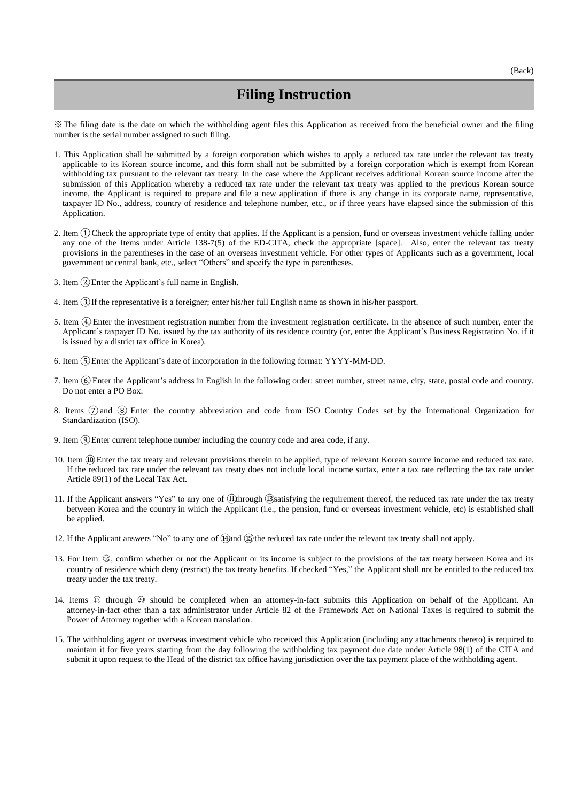### **Filing Instruction**

※ The filing date is the date on which the withholding agent files this Application as received from the beneficial owner and the filing number is the serial number assigned to such filing.

- 1. This Application shall be submitted by a foreign corporation which wishes to apply a reduced tax rate under the relevant tax treaty applicable to its Korean source income, and this form shall not be submitted by a foreign corporation which is exempt from Korean withholding tax pursuant to the relevant tax treaty. In the case where the Applicant receives additional Korean source income after the submission of this Application whereby a reduced tax rate under the relevant tax treaty was applied to the previous Korean source income, the Applicant is required to prepare and file a new application if there is any change in its corporate name, representative, taxpayer ID No., address, country of residence and telephone number, etc., or if three years have elapsed since the submission of this Application.
- 2. Item  $(1)$  Check the appropriate type of entity that applies. If the Applicant is a pension, fund or overseas investment vehicle falling under any one of the Items under Article 138-7(5) of the ED-CITA, check the appropriate [space]. Also, enter the relevant tax treaty provisions in the parentheses in the case of an overseas investment vehicle. For other types of Applicants such as a government, local government or central bank, etc., select "Others" and specify the type in parentheses.
- 3. Item  $(2)$  Enter the Applicant's full name in English.
- 4. Item (3) If the representative is a foreigner; enter his/her full English name as shown in his/her passport.
- 5. Item (4) Enter the investment registration number from the investment registration certificate. In the absence of such number, enter the Applicant's taxpayer ID No. issued by the tax authority of its residence country (or, enter the Applicant's Business Registration No. if it is issued by a district tax office in Korea).
- 6. Item ⑤. Enter the Applicant's date of incorporation in the following format: YYYY-MM-DD.
- 7. Item ⑥. Enter the Applicant's address in English in the following order: street number, street name, city, state, postal code and country. Do not enter a PO Box.
- 8. Items (7) and (8) Enter the country abbreviation and code from ISO Country Codes set by the International Organization for Standardization (ISO).
- 9. Item ⑨. Enter current telephone number including the country code and area code, if any.
- 10. Item (10) Enter the tax treaty and relevant provisions therein to be applied, type of relevant Korean source income and reduced tax rate. If the reduced tax rate under the relevant tax treaty does not include local income surtax, enter a tax rate reflecting the tax rate under Article 89(1) of the Local Tax Act.
- 11. If the Applicant answers "Yes" to any one of ①through ⑬satisfying the requirement thereof, the reduced tax rate under the tax treaty between Korea and the country in which the Applicant (i.e., the pension, fund or overseas investment vehicle, etc) is established shall be applied.
- 12. If the Applicant answers "No" to any one of  $\Omega$  and  $\Omega$  the reduced tax rate under the relevant tax treaty shall not apply.
- 13. For Item  $\circledR$ , confirm whether or not the Applicant or its income is subject to the provisions of the tax treaty between Korea and its country of residence which deny (restrict) the tax treaty benefits. If checked "Yes," the Applicant shall not be entitled to the reduced tax treaty under the tax treaty.
- 14. Items ① through ② should be completed when an attorney-in-fact submits this Application on behalf of the Applicant. An attorney-in-fact other than a tax administrator under Article 82 of the Framework Act on National Taxes is required to submit the Power of Attorney together with a Korean translation.
- 15. The withholding agent or overseas investment vehicle who received this Application (including any attachments thereto) is required to maintain it for five years starting from the day following the withholding tax payment due date under Article 98(1) of the CITA and submit it upon request to the Head of the district tax office having jurisdiction over the tax payment place of the withholding agent.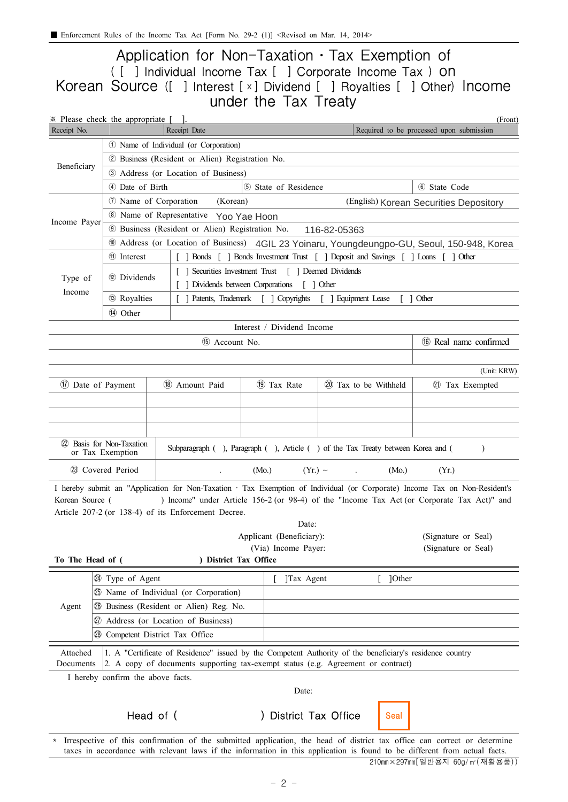## Application for Non-Taxation • Tax Exemption of ( [ ] Individual Income Tax [ ] Corporate Income Tax ) on Korean Source ([ ] Interest [ x ] Dividend [ ] Royalties [ ] Other) Income under the Tax Treaty

| * Please check the appropriate [<br>Receipt No. |                                                                             |                                                 |                                                                                                          |       |                                    |                                   |                 |                                                                                                                                                                                                                          |  |  |
|-------------------------------------------------|-----------------------------------------------------------------------------|-------------------------------------------------|----------------------------------------------------------------------------------------------------------|-------|------------------------------------|-----------------------------------|-----------------|--------------------------------------------------------------------------------------------------------------------------------------------------------------------------------------------------------------------------|--|--|
|                                                 |                                                                             |                                                 | Receipt Date                                                                                             |       |                                    |                                   |                 | Required to be processed upon submission                                                                                                                                                                                 |  |  |
|                                                 |                                                                             |                                                 | 1) Name of Individual (or Corporation)                                                                   |       |                                    |                                   |                 |                                                                                                                                                                                                                          |  |  |
| Beneficiary                                     |                                                                             | 2 Business (Resident or Alien) Registration No. |                                                                                                          |       |                                    |                                   |                 |                                                                                                                                                                                                                          |  |  |
|                                                 |                                                                             |                                                 | 3 Address (or Location of Business)                                                                      |       |                                    |                                   |                 |                                                                                                                                                                                                                          |  |  |
|                                                 | 4 Date of Birth                                                             |                                                 |                                                                                                          |       | (5) State of Residence             |                                   |                 | 6 State Code                                                                                                                                                                                                             |  |  |
|                                                 | 1 Name of Corporation<br>(Korean)<br>(English) Korean Securities Depository |                                                 |                                                                                                          |       |                                    |                                   |                 |                                                                                                                                                                                                                          |  |  |
| Income Payer                                    |                                                                             | 8 Name of Representative Yoo Yae Hoon           |                                                                                                          |       |                                    |                                   |                 |                                                                                                                                                                                                                          |  |  |
|                                                 |                                                                             |                                                 | <b>9 Business (Resident or Alien) Registration No.</b>                                                   |       |                                    | 116-82-05363                      |                 |                                                                                                                                                                                                                          |  |  |
|                                                 |                                                                             |                                                 |                                                                                                          |       |                                    |                                   |                 | Address (or Location of Business) 4GIL 23 Yoinaru, Youngdeungpo-GU, Seoul, 150-948, Korea                                                                                                                                |  |  |
|                                                 | <sup>(1)</sup> Interest                                                     |                                                 |                                                                                                          |       |                                    |                                   |                 | Bonds     Bonds Investment Trust     Deposit and Savings     Loans     Other                                                                                                                                             |  |  |
| Type of                                         | <sup>(12</sup> ) Dividends                                                  |                                                 | Securities Investment Trust [ ] Deemed Dividends                                                         |       |                                    |                                   |                 |                                                                                                                                                                                                                          |  |  |
| Income                                          |                                                                             |                                                 | Dividends between Corporations                                                                           |       |                                    | [ ] Other                         |                 |                                                                                                                                                                                                                          |  |  |
|                                                 | <sup>(3)</sup> Royalties                                                    |                                                 | Patents, Trademark                                                                                       |       | $\lceil$ $\cdot \rceil$ Copyrights | [ ] Equipment Lease               |                 | $\lceil$ 0ther                                                                                                                                                                                                           |  |  |
|                                                 | (14) Other                                                                  |                                                 |                                                                                                          |       |                                    |                                   |                 |                                                                                                                                                                                                                          |  |  |
|                                                 |                                                                             |                                                 |                                                                                                          |       | Interest / Dividend Income         |                                   |                 |                                                                                                                                                                                                                          |  |  |
|                                                 |                                                                             |                                                 | $(15)$ Account No.                                                                                       |       |                                    |                                   |                 | (16) Real name confirmed                                                                                                                                                                                                 |  |  |
|                                                 |                                                                             |                                                 |                                                                                                          |       |                                    |                                   |                 |                                                                                                                                                                                                                          |  |  |
|                                                 |                                                                             |                                                 |                                                                                                          |       |                                    |                                   |                 | (Unit: KRW)                                                                                                                                                                                                              |  |  |
| (17) Date of Payment                            |                                                                             |                                                 | (18) Amount Paid                                                                                         |       | $(19)$ Tax Rate                    | (20) Tax to be Withheld           |                 | 20 Tax Exempted                                                                                                                                                                                                          |  |  |
|                                                 |                                                                             |                                                 |                                                                                                          |       |                                    |                                   |                 |                                                                                                                                                                                                                          |  |  |
|                                                 |                                                                             |                                                 |                                                                                                          |       |                                    |                                   |                 |                                                                                                                                                                                                                          |  |  |
|                                                 |                                                                             |                                                 |                                                                                                          |       |                                    |                                   |                 |                                                                                                                                                                                                                          |  |  |
| 22 Basis for Non-Taxation                       | or Tax Exemption                                                            |                                                 | Subparagraph (), Paragraph (), Article () of the Tax Treaty between Korea and (                          |       |                                    |                                   |                 | $\lambda$                                                                                                                                                                                                                |  |  |
|                                                 | 23 Covered Period                                                           |                                                 |                                                                                                          | (Mo.) | $(Yr.) \sim$                       | <b>Contract Contract Contract</b> | (Mo.)           | (Yr)                                                                                                                                                                                                                     |  |  |
| Korean Source (                                 |                                                                             |                                                 | Article 207-2 (or 138-4) of its Enforcement Decree.                                                      |       | Date:                              |                                   |                 | I hereby submit an "Application for Non-Taxation · Tax Exemption of Individual (or Corporate) Income Tax on Non-Resident's<br>) Income" under Article 156-2 (or 98-4) of the "Income Tax Act (or Corporate Tax Act)" and |  |  |
|                                                 |                                                                             |                                                 |                                                                                                          |       | Applicant (Beneficiary):           |                                   |                 | (Signature or Seal)                                                                                                                                                                                                      |  |  |
|                                                 |                                                                             |                                                 |                                                                                                          |       | (Via) Income Payer:                |                                   |                 | (Signature or Seal)                                                                                                                                                                                                      |  |  |
| To The Head of (                                |                                                                             |                                                 | ) District Tax Office                                                                                    |       |                                    |                                   |                 |                                                                                                                                                                                                                          |  |  |
|                                                 | <sup>2</sup> Type of Agent                                                  |                                                 |                                                                                                          |       | ]Tax Agent                         |                                   | $\lceil$ [Other |                                                                                                                                                                                                                          |  |  |
|                                                 |                                                                             |                                                 | <b>25</b> Name of Individual (or Corporation)                                                            |       |                                    |                                   |                 |                                                                                                                                                                                                                          |  |  |
| Agent                                           |                                                                             |                                                 | 26 Business (Resident or Alien) Reg. No.                                                                 |       |                                    |                                   |                 |                                                                                                                                                                                                                          |  |  |
|                                                 |                                                                             |                                                 | 20 Address (or Location of Business)                                                                     |       |                                    |                                   |                 |                                                                                                                                                                                                                          |  |  |
|                                                 |                                                                             |                                                 | 28 Competent District Tax Office                                                                         |       |                                    |                                   |                 |                                                                                                                                                                                                                          |  |  |
|                                                 |                                                                             |                                                 | 1. A "Certificate of Residence" issued by the Competent Authority of the beneficiary's residence country |       |                                    |                                   |                 |                                                                                                                                                                                                                          |  |  |
| Attached<br>Documents                           |                                                                             |                                                 | 2. A copy of documents supporting tax-exempt status (e.g. Agreement or contract)                         |       |                                    |                                   |                 |                                                                                                                                                                                                                          |  |  |
|                                                 | I hereby confirm the above facts.                                           |                                                 |                                                                                                          |       |                                    |                                   |                 |                                                                                                                                                                                                                          |  |  |

Irrespective of this confirmation of the submitted application, the head of district tax office can correct or determine taxes in accordance with relevant laws if the information in this application is found to be different from actual facts.

Head of ( ) District Tax Office Seal